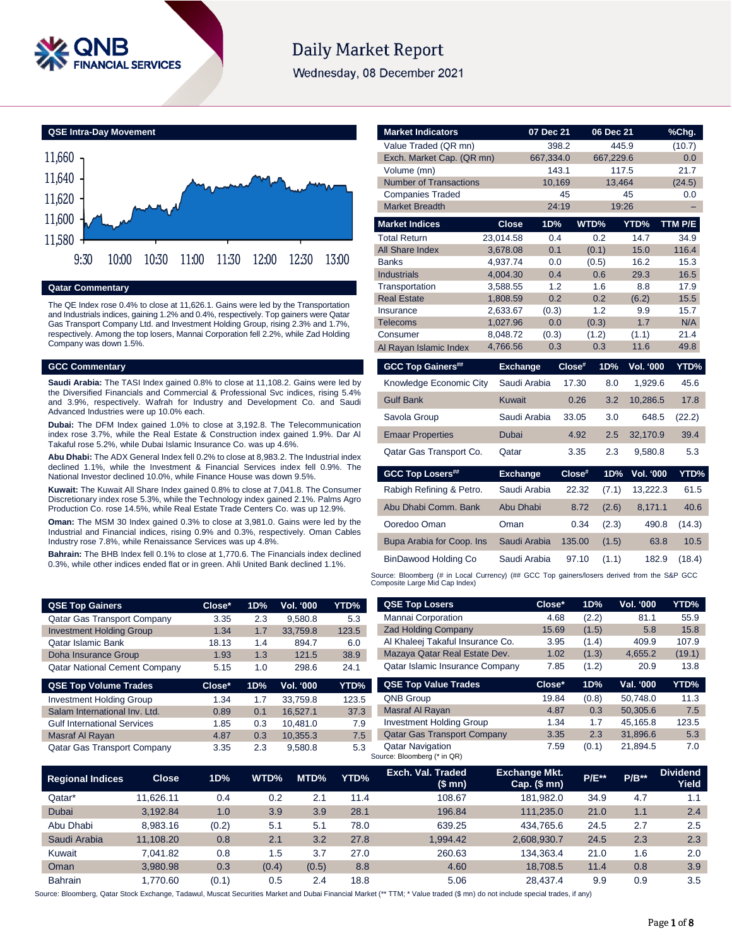

# **Daily Market Report**

Wednesday, 08 December 2021

**QSE Intra-Day Movement** 11,580 11,600 11,620 11,640 11,660 9:30 10:00 10:30 11:00 11:30 12:00 12:30 13:00

## **Qatar Commentary**

The QE Index rose 0.4% to close at 11,626.1. Gains were led by the Transportation and Industrials indices, gaining 1.2% and 0.4%, respectively. Top gainers were Qatar Gas Transport Company Ltd. and Investment Holding Group, rising 2.3% and 1.7%, respectively. Among the top losers, Mannai Corporation fell 2.2%, while Zad Holding Company was down 1.5%.

#### **GCC Commentary**

**Saudi Arabia:** The TASI Index gained 0.8% to close at 11,108.2. Gains were led by the Diversified Financials and Commercial & Professional Svc indices, rising 5.4% and 3.9%, respectively. Wafrah for Industry and Development Co. and Saudi Advanced Industries were up 10.0% each.

**Dubai:** The DFM Index gained 1.0% to close at 3,192.8. The Telecommunication index rose 3.7%, while the Real Estate & Construction index gained 1.9%. Dar Al Takaful rose 5.2%, while Dubai Islamic Insurance Co. was up 4.6%.

**Abu Dhabi:** The ADX General Index fell 0.2% to close at 8,983.2. The Industrial index declined 1.1%, while the Investment & Financial Services index fell 0.9%. The National Investor declined 10.0%, while Finance House was down 9.5%.

**Kuwait:** The Kuwait All Share Index gained 0.8% to close at 7,041.8. The Consumer Discretionary index rose 5.3%, while the Technology index gained 2.1%. Palms Agro Production Co. rose 14.5%, while Real Estate Trade Centers Co. was up 12.9%.

**Oman:** The MSM 30 Index gained 0.3% to close at 3,981.0. Gains were led by the Industrial and Financial indices, rising 0.9% and 0.3%, respectively. Oman Cables Industry rose 7.8%, while Renaissance Services was up 4.8%.

**Bahrain:** The BHB Index fell 0.1% to close at 1,770.6. The Financials index declined 0.3%, while other indices ended flat or in green. Ahli United Bank declined 1.1%.

**QSE Top Gainers Close\* 1D% Vol. '000** Qatar Gas Transport Company 3.35 2.3 9,580.8 Investment Holding Group 1.34 1.7 33,759.8 Qatar Islamic Bank 18.13 1.4 894.7 Doha Insurance Group 1.93 1.3 121.5 Qatar National Cement Company 5.15 1.0 298.6 **QSE Top Volume Trades Close\* 1D% Vol. '000** Investment Holding Group 1.34 1.7 33,759.8 Salam International Inv. Ltd. 0.89 0.1 16,527.1 Gulf International Services 1.85 0.3 10,481.0 Masraf Al Rayan 4.87 0.3 10,355.3 Qatar Gas Transport Company 3.35 2.3 9,580.8

| <b>Market Indicators</b>      |                      | 07 Dec 21    |        | 06 Dec 21      |                  | <u>%Chg.</u> |
|-------------------------------|----------------------|--------------|--------|----------------|------------------|--------------|
| Value Traded (QR mn)          |                      | 398.2        |        | 445.9          |                  | (10.7)       |
| Exch. Market Cap. (QR mn)     |                      | 667,334.0    |        | 667,229.6      |                  | 0.0          |
| Volume (mn)                   |                      | 143.1        |        | 117.5          |                  | 21.7         |
| <b>Number of Transactions</b> |                      | 10,169       |        | 13,464         |                  | (24.5)       |
| <b>Companies Traded</b>       |                      | 45           |        |                | 45               | 0.0          |
| <b>Market Breadth</b>         |                      | 24:19        |        | 19:26          |                  |              |
| <b>Market Indices</b>         | <b>Close</b>         | 1D%          | WTD%   |                | YTD%             | TTM P/E      |
| <b>Total Return</b>           | 23,014.58            | 0.4          |        | 0.2            | 14.7             | 34.9         |
| All Share Index               | 3,678.08             | 0.1          |        | (0.1)          | 15.0             | 116.4        |
| <b>Banks</b>                  | 4.937.74             | 0.0          |        | (0.5)          | 16.2             | 15.3         |
| <b>Industrials</b>            | 4,004.30             | 0.4          |        | 0.6            | 29.3             | 16.5         |
| Transportation                | 3,588.55             | 1.2          |        | 1.6            | 8.8              | 17.9         |
| <b>Real Estate</b>            | 1,808.59             | 0.2          |        | 0.2            | (6.2)            | 15.5         |
| Insurance                     | 2,633.67             | (0.3)        |        | 1.2            | 9.9              | 15.7         |
| <b>Telecoms</b><br>Consumer   | 1,027.96<br>8,048.72 | 0.0<br>(0.3) |        | (0.3)<br>(1.2) | 1.7<br>(1.1)     | N/A<br>21.4  |
| Al Rayan Islamic Index        | 4,766.56             | 0.3          |        | 0.3            | 11.6             | 49.8         |
|                               |                      |              |        |                |                  |              |
| <b>GCC Top Gainers##</b>      | <b>Exchange</b>      |              | Close# | 1D%            | <b>Vol. '000</b> | YTD%         |
| Knowledge Economic City       |                      | Saudi Arabia | 17.30  | 8.0            | 1,929.6          | 45.6         |
| <b>Gulf Bank</b>              | <b>Kuwait</b>        |              | 0.26   | 3.2            | 10,286.5         | 17.8         |
| Savola Group                  |                      | Saudi Arabia | 33.05  | 3.0            | 648.5            | (22.2)       |
| <b>Emaar Properties</b>       | Dubai                |              | 4.92   | 2.5            | 32,170.9         | 39.4         |
| Qatar Gas Transport Co.       | Qatar                |              | 3.35   | 2.3            | 9,580.8          | 5.3          |
| <b>GCC Top Losers##</b>       | <b>Exchange</b>      |              | Close# | 1D%            | Vol. '000        | YTD%         |
| Rabigh Refining & Petro.      |                      | Saudi Arabia | 22.32  | (7.1)          | 13,222.3         | 61.5         |
| Abu Dhabi Comm. Bank          | Abu Dhabi            |              | 8.72   | (2.6)          | 8,171.1          | 40.6         |
| Ooredoo Oman                  | Oman                 |              | 0.34   | (2.3)          | 490.8            | (14.3)       |
| Bupa Arabia for Coop. Ins     |                      | Saudi Arabia | 135.00 | (1.5)          | 63.8             | 10.5         |
| BinDawood Holding Co          |                      | Saudi Arabia | 97.10  | (1.1)          | 182.9            | (18.4)       |
|                               |                      |              |        |                |                  |              |

Source: Bloomberg (# in Local Currency) (## GCC Top gainers/losers derived from the S&P GCC<br>Composite Large Mid Cap Index)

| <b>TD%</b> | <b>QSE Top Losers</b>                  | Close* | 1D%   | <b>Vol. '000</b> | YTD%   |
|------------|----------------------------------------|--------|-------|------------------|--------|
| 5.3        | Mannai Corporation                     | 4.68   | (2.2) | 81.1             | 55.9   |
| 23.5       | <b>Zad Holding Company</b>             | 15.69  | (1.5) | 5.8              | 15.8   |
| 6.0        | Al Khaleej Takaful Insurance Co.       | 3.95   | (1.4) | 409.9            | 107.9  |
| 38.9       | Mazaya Qatar Real Estate Dev.          | 1.02   | (1.3) | 4,655.2          | (19.1) |
| 24.1       | <b>Qatar Islamic Insurance Company</b> | 7.85   | (1.2) | 20.9             | 13.8   |
|            |                                        |        |       |                  |        |
| TD%        | <b>QSE Top Value Trades</b>            | Close* | 1D%   | Val. '000        | YTD%   |
| 123.5      | <b>QNB Group</b>                       | 19.84  | (0.8) | 50.748.0         | 11.3   |
| 37.3       | Masraf Al Rayan                        | 4.87   | 0.3   | 50.305.6         | 7.5    |
| 7.9        | <b>Investment Holding Group</b>        | 1.34   | 1.7   | 45.165.8         | 123.5  |
| 7.5        | <b>Qatar Gas Transport Company</b>     | 3.35   | 2.3   | 31,896.6         | 5.3    |

| <b>Regional Indices</b> | <b>Close</b> | 1D%   | WTD%  | MTD%  | YTD% | Exch. Val. Traded<br>(\$mn) | <b>Exchange Mkt.</b><br>$Cap.$ (\$ mn) | <b>P/E**</b> | $P/B**$ | <b>Dividend</b><br>Yield |
|-------------------------|--------------|-------|-------|-------|------|-----------------------------|----------------------------------------|--------------|---------|--------------------------|
| Qatar*                  | 11.626.11    | 0.4   | 0.2   | 2.1   | 11.4 | 108.67                      | 181.982.0                              | 34.9         | 4.7     | 1.1                      |
| <b>Dubai</b>            | 3.192.84     | 1.0   | 3.9   | 3.9   | 28.1 | 196.84                      | 111.235.0                              | 21.0         | 1.1     | 2.4                      |
| Abu Dhabi               | 8.983.16     | (0.2) | 5.1   | 5.1   | 78.0 | 639.25                      | 434.765.6                              | 24.5         | 2.7     | 2.5                      |
| Saudi Arabia            | 11,108.20    | 0.8   | 2.1   | 3.2   | 27.8 | 1.994.42                    | 2,608,930.7                            | 24.5         | 2.3     | 2.3                      |
| Kuwait                  | 7.041.82     | 0.8   | 1.5   | 3.7   | 27.0 | 260.63                      | 134.363.4                              | 21.0         | 1.6     | 2.0                      |
| Oman                    | 3.980.98     | 0.3   | (0.4) | (0.5) | 8.8  | 4.60                        | 18.708.5                               | 11.4         | 0.8     | 3.9                      |
| <b>Bahrain</b>          | 1.770.60     | (0.1) | 0.5   | 2.4   | 18.8 | 5.06                        | 28.437.4                               | 9.9          | 0.9     | 3.5                      |

Source: Bloomberg, Qatar Stock Exchange, Tadawul, Muscat Securities Market and Dubai Financial Market (\*\* TTM; \* Value traded (\$ mn) do not include special trades, if any)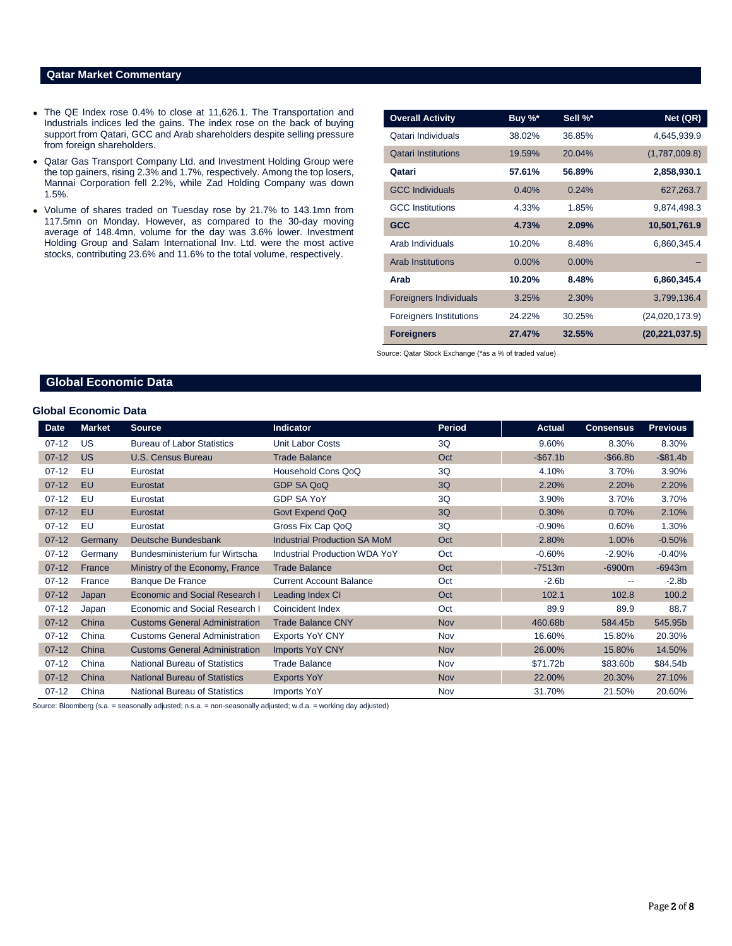### **Qatar Market Commentary**

- The QE Index rose 0.4% to close at 11,626.1. The Transportation and Industrials indices led the gains. The index rose on the back of buying support from Qatari, GCC and Arab shareholders despite selling pressure from foreign shareholders.
- Qatar Gas Transport Company Ltd. and Investment Holding Group were the top gainers, rising 2.3% and 1.7%, respectively. Among the top losers, Mannai Corporation fell 2.2%, while Zad Holding Company was down 1.5%.
- Volume of shares traded on Tuesday rose by 21.7% to 143.1mn from 117.5mn on Monday. However, as compared to the 30-day moving average of 148.4mn, volume for the day was 3.6% lower. Investment Holding Group and Salam International Inv. Ltd. were the most active stocks, contributing 23.6% and 11.6% to the total volume, respectively.

| <b>Overall Activity</b>        | Buy %*   | Sell %*  | Net (QR)         |
|--------------------------------|----------|----------|------------------|
| Qatari Individuals             | 38.02%   | 36.85%   | 4,645,939.9      |
| <b>Qatari Institutions</b>     | 19.59%   | 20.04%   | (1,787,009.8)    |
| Qatari                         | 57.61%   | 56.89%   | 2,858,930.1      |
| <b>GCC Individuals</b>         | 0.40%    | 0.24%    | 627,263.7        |
| <b>GCC</b> Institutions        | 4.33%    | 1.85%    | 9,874,498.3      |
| <b>GCC</b>                     | 4.73%    | 2.09%    | 10,501,761.9     |
| Arab Individuals               | 10.20%   | 8.48%    | 6,860,345.4      |
| <b>Arab Institutions</b>       | $0.00\%$ | $0.00\%$ |                  |
| Arab                           | 10.20%   | 8.48%    | 6,860,345.4      |
| <b>Foreigners Individuals</b>  | 3.25%    | 2.30%    | 3,799,136.4      |
| <b>Foreigners Institutions</b> | 24.22%   | 30.25%   | (24,020,173.9)   |
| <b>Foreigners</b>              | 27.47%   | 32.55%   | (20, 221, 037.5) |

Source: Qatar Stock Exchange (\*as a % of traded value)

# **Global Economic Data**

#### **Global Economic Data**

| Date      | <b>Market</b> | <b>Source</b>                         | <b>Indicator</b>                     | Period     | <b>Actual</b> | <b>Consensus</b> | <b>Previous</b> |
|-----------|---------------|---------------------------------------|--------------------------------------|------------|---------------|------------------|-----------------|
| $07-12$   | US            | <b>Bureau of Labor Statistics</b>     | <b>Unit Labor Costs</b>              | 3Q         | 9.60%         | 8.30%            | 8.30%           |
| $07 - 12$ | <b>US</b>     | U.S. Census Bureau                    | <b>Trade Balance</b>                 | Oct        | $-$67.1b$     | $-$ \$66.8b      | $-$ \$81.4b     |
| $07-12$   | EU            | Eurostat                              | Household Cons QoQ                   | 3Q         | 4.10%         | 3.70%            | 3.90%           |
| $07-12$   | EU            | Eurostat                              | <b>GDP SA QoQ</b>                    | 3Q         | 2.20%         | 2.20%            | 2.20%           |
| $07 - 12$ | EU            | Eurostat                              | <b>GDP SA YoY</b>                    | 3Q         | 3.90%         | 3.70%            | 3.70%           |
| $07 - 12$ | EU            | Eurostat                              | Govt Expend QoQ                      | 3Q         | 0.30%         | 0.70%            | 2.10%           |
| $07 - 12$ | EU            | Eurostat                              | Gross Fix Cap QoQ                    | 3Q         | $-0.90%$      | 0.60%            | 1.30%           |
| $07 - 12$ | Germany       | Deutsche Bundesbank                   | <b>Industrial Production SA MoM</b>  | Oct        | 2.80%         | 1.00%            | $-0.50%$        |
| $07-12$   | Germany       | Bundesministerium fur Wirtscha        | <b>Industrial Production WDA YoY</b> | Oct        | $-0.60%$      | $-2.90%$         | $-0.40%$        |
| $07-12$   | France        | Ministry of the Economy, France       | <b>Trade Balance</b>                 | Oct        | $-7513m$      | $-6900m$         | $-6943m$        |
| $07-12$   | France        | <b>Banque De France</b>               | <b>Current Account Balance</b>       | Oct        | $-2.6b$       | --               | $-2.8b$         |
| $07 - 12$ | Japan         | Economic and Social Research I        | Leading Index CI                     | Oct        | 102.1         | 102.8            | 100.2           |
| $07-12$   | Japan         | Economic and Social Research I        | Coincident Index                     | Oct        | 89.9          | 89.9             | 88.7            |
| $07 - 12$ | China         | <b>Customs General Administration</b> | <b>Trade Balance CNY</b>             | <b>Nov</b> | 460.68b       | 584.45b          | 545.95b         |
| $07 - 12$ | China         | <b>Customs General Administration</b> | <b>Exports YoY CNY</b>               | Nov        | 16.60%        | 15.80%           | 20.30%          |
| $07 - 12$ | China         | <b>Customs General Administration</b> | <b>Imports YoY CNY</b>               | <b>Nov</b> | 26.00%        | 15.80%           | 14.50%          |
| $07 - 12$ | China         | <b>National Bureau of Statistics</b>  | <b>Trade Balance</b>                 | Nov        | \$71.72b      | \$83.60b         | \$84.54b        |
| $07-12$   | China         | <b>National Bureau of Statistics</b>  | <b>Exports YoY</b>                   | <b>Nov</b> | 22.00%        | 20.30%           | 27.10%          |
| $07-12$   | China         | <b>National Bureau of Statistics</b>  | <b>Imports YoY</b>                   | Nov        | 31.70%        | 21.50%           | 20.60%          |

Source: Bloomberg (s.a. = seasonally adjusted; n.s.a. = non-seasonally adjusted; w.d.a. = working day adjusted)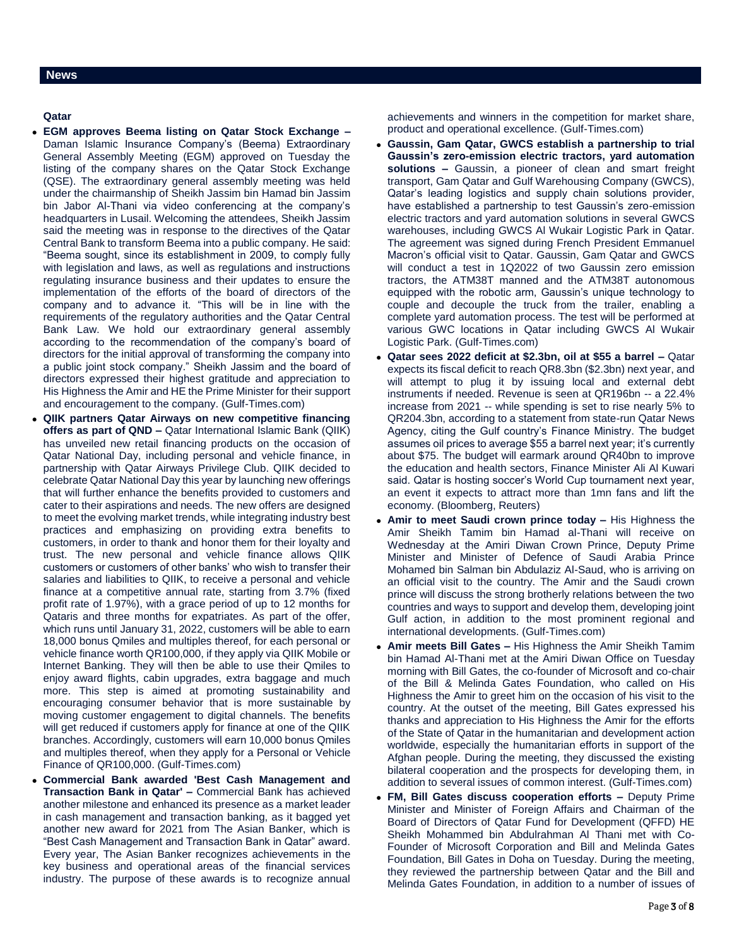# **Qatar**

- **EGM approves Beema listing on Qatar Stock Exchange –** Daman Islamic Insurance Company's (Beema) Extraordinary General Assembly Meeting (EGM) approved on Tuesday the listing of the company shares on the Qatar Stock Exchange (QSE). The extraordinary general assembly meeting was held under the chairmanship of Sheikh Jassim bin Hamad bin Jassim bin Jabor Al-Thani via video conferencing at the company's headquarters in Lusail. Welcoming the attendees, Sheikh Jassim said the meeting was in response to the directives of the Qatar Central Bank to transform Beema into a public company. He said: "Beema sought, since its establishment in 2009, to comply fully with legislation and laws, as well as regulations and instructions regulating insurance business and their updates to ensure the implementation of the efforts of the board of directors of the company and to advance it. "This will be in line with the requirements of the regulatory authorities and the Qatar Central Bank Law. We hold our extraordinary general assembly according to the recommendation of the company's board of directors for the initial approval of transforming the company into a public joint stock company." Sheikh Jassim and the board of directors expressed their highest gratitude and appreciation to His Highness the Amir and HE the Prime Minister for their support and encouragement to the company. (Gulf-Times.com)
- **QIIK partners Qatar Airways on new competitive financing offers as part of QND –** Qatar International Islamic Bank (QIIK) has unveiled new retail financing products on the occasion of Qatar National Day, including personal and vehicle finance, in partnership with Qatar Airways Privilege Club. QIIK decided to celebrate Qatar National Day this year by launching new offerings that will further enhance the benefits provided to customers and cater to their aspirations and needs. The new offers are designed to meet the evolving market trends, while integrating industry best practices and emphasizing on providing extra benefits to customers, in order to thank and honor them for their loyalty and trust. The new personal and vehicle finance allows QIIK customers or customers of other banks' who wish to transfer their salaries and liabilities to QIIK, to receive a personal and vehicle finance at a competitive annual rate, starting from 3.7% (fixed profit rate of 1.97%), with a grace period of up to 12 months for Qataris and three months for expatriates. As part of the offer, which runs until January 31, 2022, customers will be able to earn 18,000 bonus Qmiles and multiples thereof, for each personal or vehicle finance worth QR100,000, if they apply via QIIK Mobile or Internet Banking. They will then be able to use their Qmiles to enjoy award flights, cabin upgrades, extra baggage and much more. This step is aimed at promoting sustainability and encouraging consumer behavior that is more sustainable by moving customer engagement to digital channels. The benefits will get reduced if customers apply for finance at one of the QIIK branches. Accordingly, customers will earn 10,000 bonus Qmiles and multiples thereof, when they apply for a Personal or Vehicle Finance of QR100,000. (Gulf-Times.com)
- **Commercial Bank awarded 'Best Cash Management and Transaction Bank in Qatar' –** Commercial Bank has achieved another milestone and enhanced its presence as a market leader in cash management and transaction banking, as it bagged yet another new award for 2021 from The Asian Banker, which is "Best Cash Management and Transaction Bank in Qatar" award. Every year, The Asian Banker recognizes achievements in the key business and operational areas of the financial services industry. The purpose of these awards is to recognize annual

achievements and winners in the competition for market share, product and operational excellence. (Gulf-Times.com)

- **Gaussin, Gam Qatar, GWCS establish a partnership to trial Gaussin's zero-emission electric tractors, yard automation solutions –** Gaussin, a pioneer of clean and smart freight transport, Gam Qatar and Gulf Warehousing Company (GWCS), Qatar's leading logistics and supply chain solutions provider, have established a partnership to test Gaussin's zero-emission electric tractors and yard automation solutions in several GWCS warehouses, including GWCS Al Wukair Logistic Park in Qatar. The agreement was signed during French President Emmanuel Macron's official visit to Qatar. Gaussin, Gam Qatar and GWCS will conduct a test in 1Q2022 of two Gaussin zero emission tractors, the ATM38T manned and the ATM38T autonomous equipped with the robotic arm, Gaussin's unique technology to couple and decouple the truck from the trailer, enabling a complete yard automation process. The test will be performed at various GWC locations in Qatar including GWCS Al Wukair Logistic Park. (Gulf-Times.com)
- **Qatar sees 2022 deficit at \$2.3bn, oil at \$55 a barrel –** Qatar expects its fiscal deficit to reach QR8.3bn (\$2.3bn) next year, and will attempt to plug it by issuing local and external debt instruments if needed. Revenue is seen at QR196bn -- a 22.4% increase from 2021 -- while spending is set to rise nearly 5% to QR204.3bn, according to a statement from state-run Qatar News Agency, citing the Gulf country's Finance Ministry. The budget assumes oil prices to average \$55 a barrel next year; it's currently about \$75. The budget will earmark around QR40bn to improve the education and health sectors, Finance Minister Ali Al Kuwari said. Qatar is hosting soccer's World Cup tournament next year, an event it expects to attract more than 1mn fans and lift the economy. (Bloomberg, Reuters)
- **Amir to meet Saudi crown prince today –** His Highness the Amir Sheikh Tamim bin Hamad al-Thani will receive on Wednesday at the Amiri Diwan Crown Prince, Deputy Prime Minister and Minister of Defence of Saudi Arabia Prince Mohamed bin Salman bin Abdulaziz Al-Saud, who is arriving on an official visit to the country. The Amir and the Saudi crown prince will discuss the strong brotherly relations between the two countries and ways to support and develop them, developing joint Gulf action, in addition to the most prominent regional and international developments. (Gulf-Times.com)
- **Amir meets Bill Gates –** His Highness the Amir Sheikh Tamim bin Hamad Al-Thani met at the Amiri Diwan Office on Tuesday morning with Bill Gates, the co-founder of Microsoft and co-chair of the Bill & Melinda Gates Foundation, who called on His Highness the Amir to greet him on the occasion of his visit to the country. At the outset of the meeting, Bill Gates expressed his thanks and appreciation to His Highness the Amir for the efforts of the State of Qatar in the humanitarian and development action worldwide, especially the humanitarian efforts in support of the Afghan people. During the meeting, they discussed the existing bilateral cooperation and the prospects for developing them, in addition to several issues of common interest. (Gulf-Times.com)
- **FM, Bill Gates discuss cooperation efforts –** Deputy Prime Minister and Minister of Foreign Affairs and Chairman of the Board of Directors of Qatar Fund for Development (QFFD) HE Sheikh Mohammed bin Abdulrahman Al Thani met with Co-Founder of Microsoft Corporation and Bill and Melinda Gates Foundation, Bill Gates in Doha on Tuesday. During the meeting, they reviewed the partnership between Qatar and the Bill and Melinda Gates Foundation, in addition to a number of issues of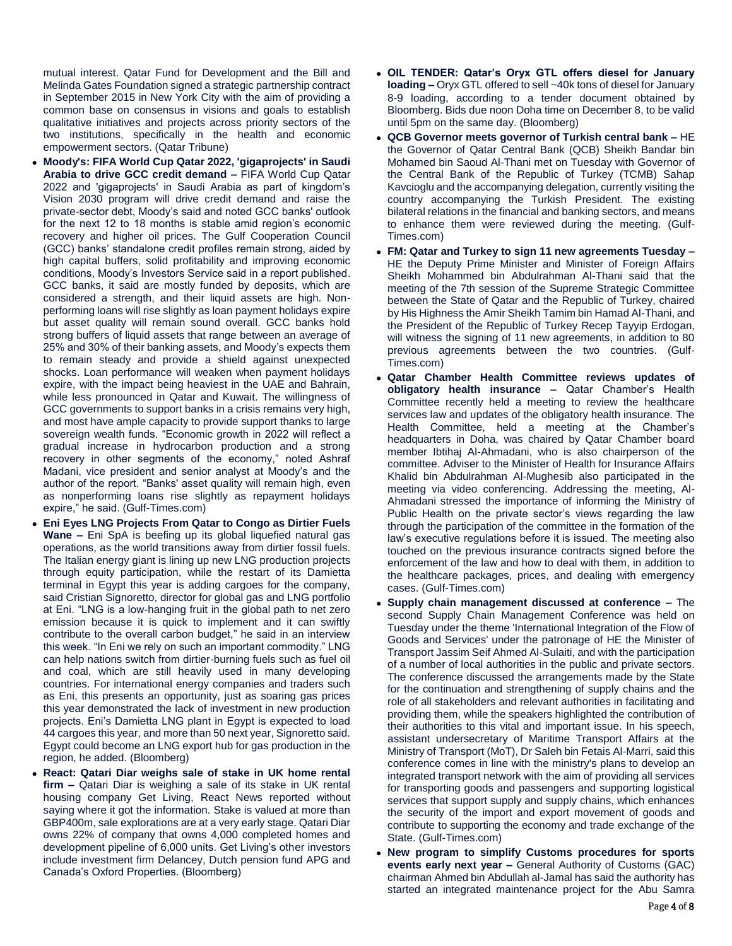mutual interest. Qatar Fund for Development and the Bill and Melinda Gates Foundation signed a strategic partnership contract in September 2015 in New York City with the aim of providing a common base on consensus in visions and goals to establish qualitative initiatives and projects across priority sectors of the two institutions, specifically in the health and economic empowerment sectors. (Qatar Tribune)

- **Moody's: FIFA World Cup Qatar 2022, 'gigaprojects' in Saudi Arabia to drive GCC credit demand –** FIFA World Cup Qatar 2022 and 'gigaprojects' in Saudi Arabia as part of kingdom's Vision 2030 program will drive credit demand and raise the private-sector debt, Moody's said and noted GCC banks' outlook for the next 12 to 18 months is stable amid region's economic recovery and higher oil prices. The Gulf Cooperation Council (GCC) banks' standalone credit profiles remain strong, aided by high capital buffers, solid profitability and improving economic conditions, Moody's Investors Service said in a report published. GCC banks, it said are mostly funded by deposits, which are considered a strength, and their liquid assets are high. Nonperforming loans will rise slightly as loan payment holidays expire but asset quality will remain sound overall. GCC banks hold strong buffers of liquid assets that range between an average of 25% and 30% of their banking assets, and Moody's expects them to remain steady and provide a shield against unexpected shocks. Loan performance will weaken when payment holidays expire, with the impact being heaviest in the UAE and Bahrain, while less pronounced in Qatar and Kuwait. The willingness of GCC governments to support banks in a crisis remains very high, and most have ample capacity to provide support thanks to large sovereign wealth funds. "Economic growth in 2022 will reflect a gradual increase in hydrocarbon production and a strong recovery in other segments of the economy," noted Ashraf Madani, vice president and senior analyst at Moody's and the author of the report. "Banks' asset quality will remain high, even as nonperforming loans rise slightly as repayment holidays expire," he said. (Gulf-Times.com)
- **Eni Eyes LNG Projects From Qatar to Congo as Dirtier Fuels Wane –** Eni SpA is beefing up its global liquefied natural gas operations, as the world transitions away from dirtier fossil fuels. The Italian energy giant is lining up new LNG production projects through equity participation, while the restart of its Damietta terminal in Egypt this year is adding cargoes for the company, said Cristian Signoretto, director for global gas and LNG portfolio at Eni. "LNG is a low-hanging fruit in the global path to net zero emission because it is quick to implement and it can swiftly contribute to the overall carbon budget," he said in an interview this week. "In Eni we rely on such an important commodity." LNG can help nations switch from dirtier-burning fuels such as fuel oil and coal, which are still heavily used in many developing countries. For international energy companies and traders such as Eni, this presents an opportunity, just as soaring gas prices this year demonstrated the lack of investment in new production projects. Eni's Damietta LNG plant in Egypt is expected to load 44 cargoes this year, and more than 50 next year, Signoretto said. Egypt could become an LNG export hub for gas production in the region, he added. (Bloomberg)
- **React: Qatari Diar weighs sale of stake in UK home rental firm –** Qatari Diar is weighing a sale of its stake in UK rental housing company Get Living, React News reported without saying where it got the information. Stake is valued at more than GBP400m, sale explorations are at a very early stage. Qatari Diar owns 22% of company that owns 4,000 completed homes and development pipeline of 6,000 units. Get Living's other investors include investment firm Delancey, Dutch pension fund APG and Canada's Oxford Properties. (Bloomberg)
- **OIL TENDER: Qatar's Oryx GTL offers diesel for January loading –** Oryx GTL offered to sell ~40k tons of diesel for January 8-9 loading, according to a tender document obtained by Bloomberg. Bids due noon Doha time on December 8, to be valid until 5pm on the same day. (Bloomberg)
- **QCB Governor meets governor of Turkish central bank –** HE the Governor of Qatar Central Bank (QCB) Sheikh Bandar bin Mohamed bin Saoud Al-Thani met on Tuesday with Governor of the Central Bank of the Republic of Turkey (TCMB) Sahap Kavcioglu and the accompanying delegation, currently visiting the country accompanying the Turkish President. The existing bilateral relations in the financial and banking sectors, and means to enhance them were reviewed during the meeting. (Gulf-Times.com)
- **FM: Qatar and Turkey to sign 11 new agreements Tuesday –** HE the Deputy Prime Minister and Minister of Foreign Affairs Sheikh Mohammed bin Abdulrahman Al-Thani said that the meeting of the 7th session of the Supreme Strategic Committee between the State of Qatar and the Republic of Turkey, chaired by His Highness the Amir Sheikh Tamim bin Hamad Al-Thani, and the President of the Republic of Turkey Recep Tayyip Erdogan, will witness the signing of 11 new agreements, in addition to 80 previous agreements between the two countries. (Gulf-Times.com)
- **Qatar Chamber Health Committee reviews updates of obligatory health insurance –** Qatar Chamber's Health Committee recently held a meeting to review the healthcare services law and updates of the obligatory health insurance. The Health Committee, held a meeting at the Chamber's headquarters in Doha, was chaired by Qatar Chamber board member Ibtihaj Al-Ahmadani, who is also chairperson of the committee. Adviser to the Minister of Health for Insurance Affairs Khalid bin Abdulrahman Al-Mughesib also participated in the meeting via video conferencing. Addressing the meeting, Al-Ahmadani stressed the importance of informing the Ministry of Public Health on the private sector's views regarding the law through the participation of the committee in the formation of the law's executive regulations before it is issued. The meeting also touched on the previous insurance contracts signed before the enforcement of the law and how to deal with them, in addition to the healthcare packages, prices, and dealing with emergency cases. (Gulf-Times.com)
- **Supply chain management discussed at conference –** The second Supply Chain Management Conference was held on Tuesday under the theme 'International Integration of the Flow of Goods and Services' under the patronage of HE the Minister of Transport Jassim Seif Ahmed Al-Sulaiti, and with the participation of a number of local authorities in the public and private sectors. The conference discussed the arrangements made by the State for the continuation and strengthening of supply chains and the role of all stakeholders and relevant authorities in facilitating and providing them, while the speakers highlighted the contribution of their authorities to this vital and important issue. In his speech, assistant undersecretary of Maritime Transport Affairs at the Ministry of Transport (MoT), Dr Saleh bin Fetais Al-Marri, said this conference comes in line with the ministry's plans to develop an integrated transport network with the aim of providing all services for transporting goods and passengers and supporting logistical services that support supply and supply chains, which enhances the security of the import and export movement of goods and contribute to supporting the economy and trade exchange of the State. (Gulf-Times.com)
- **New program to simplify Customs procedures for sports events early next year –** General Authority of Customs (GAC) chairman Ahmed bin Abdullah al-Jamal has said the authority has started an integrated maintenance project for the Abu Samra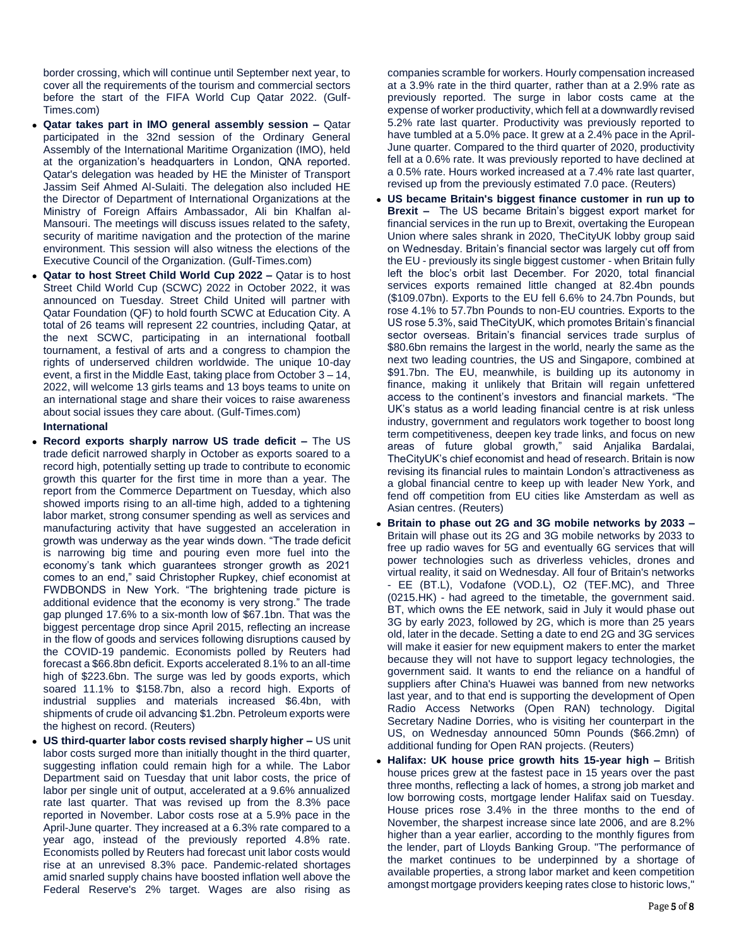border crossing, which will continue until September next year, to cover all the requirements of the tourism and commercial sectors before the start of the FIFA World Cup Qatar 2022. (Gulf-Times.com)

- **Qatar takes part in IMO general assembly session –** Qatar participated in the 32nd session of the Ordinary General Assembly of the International Maritime Organization (IMO), held at the organization's headquarters in London, QNA reported. Qatar's delegation was headed by HE the Minister of Transport Jassim Seif Ahmed Al-Sulaiti. The delegation also included HE the Director of Department of International Organizations at the Ministry of Foreign Affairs Ambassador, Ali bin Khalfan al-Mansouri. The meetings will discuss issues related to the safety, security of maritime navigation and the protection of the marine environment. This session will also witness the elections of the Executive Council of the Organization. (Gulf-Times.com)
- **Qatar to host Street Child World Cup 2022 –** Qatar is to host Street Child World Cup (SCWC) 2022 in October 2022, it was announced on Tuesday. Street Child United will partner with Qatar Foundation (QF) to hold fourth SCWC at Education City. A total of 26 teams will represent 22 countries, including Qatar, at the next SCWC, participating in an international football tournament, a festival of arts and a congress to champion the rights of underserved children worldwide. The unique 10-day event, a first in the Middle East, taking place from October 3 – 14, 2022, will welcome 13 girls teams and 13 boys teams to unite on an international stage and share their voices to raise awareness about social issues they care about. (Gulf-Times.com) **International**
- **Record exports sharply narrow US trade deficit –** The US trade deficit narrowed sharply in October as exports soared to a record high, potentially setting up trade to contribute to economic growth this quarter for the first time in more than a year. The report from the Commerce Department on Tuesday, which also showed imports rising to an all-time high, added to a tightening labor market, strong consumer spending as well as services and manufacturing activity that have suggested an acceleration in growth was underway as the year winds down. "The trade deficit is narrowing big time and pouring even more fuel into the economy's tank which guarantees stronger growth as 2021 comes to an end," said Christopher Rupkey, chief economist at FWDBONDS in New York. "The brightening trade picture is additional evidence that the economy is very strong." The trade gap plunged 17.6% to a six-month low of \$67.1bn. That was the biggest percentage drop since April 2015, reflecting an increase in the flow of goods and services following disruptions caused by the COVID-19 pandemic. Economists polled by Reuters had forecast a \$66.8bn deficit. Exports accelerated 8.1% to an all-time high of \$223.6bn. The surge was led by goods exports, which soared 11.1% to \$158.7bn, also a record high. Exports of industrial supplies and materials increased \$6.4bn, with shipments of crude oil advancing \$1.2bn. Petroleum exports were the highest on record. (Reuters)
- **US third-quarter labor costs revised sharply higher –** US unit labor costs surged more than initially thought in the third quarter, suggesting inflation could remain high for a while. The Labor Department said on Tuesday that unit labor costs, the price of labor per single unit of output, accelerated at a 9.6% annualized rate last quarter. That was revised up from the 8.3% pace reported in November. Labor costs rose at a 5.9% pace in the April-June quarter. They increased at a 6.3% rate compared to a year ago, instead of the previously reported 4.8% rate. Economists polled by Reuters had forecast unit labor costs would rise at an unrevised 8.3% pace. Pandemic-related shortages amid snarled supply chains have boosted inflation well above the Federal Reserve's 2% target. Wages are also rising as

companies scramble for workers. Hourly compensation increased at a 3.9% rate in the third quarter, rather than at a 2.9% rate as previously reported. The surge in labor costs came at the expense of worker productivity, which fell at a downwardly revised 5.2% rate last quarter. Productivity was previously reported to have tumbled at a 5.0% pace. It grew at a 2.4% pace in the April-June quarter. Compared to the third quarter of 2020, productivity fell at a 0.6% rate. It was previously reported to have declined at a 0.5% rate. Hours worked increased at a 7.4% rate last quarter, revised up from the previously estimated 7.0 pace. (Reuters)

- **US became Britain's biggest finance customer in run up to Brexit –** The US became Britain's biggest export market for financial services in the run up to Brexit, overtaking the European Union where sales shrank in 2020, TheCityUK lobby group said on Wednesday. Britain's financial sector was largely cut off from the EU - previously its single biggest customer - when Britain fully left the bloc's orbit last December. For 2020, total financial services exports remained little changed at 82.4bn pounds (\$109.07bn). Exports to the EU fell 6.6% to 24.7bn Pounds, but rose 4.1% to 57.7bn Pounds to non-EU countries. Exports to the US rose 5.3%, said TheCityUK, which promotes Britain's financial sector overseas. Britain's financial services trade surplus of \$80.6bn remains the largest in the world, nearly the same as the next two leading countries, the US and Singapore, combined at \$91.7bn. The EU, meanwhile, is building up its autonomy in finance, making it unlikely that Britain will regain unfettered access to the continent's investors and financial markets. "The UK's status as a world leading financial centre is at risk unless industry, government and regulators work together to boost long term competitiveness, deepen key trade links, and focus on new areas of future global growth," said Anjalika Bardalai, TheCityUK's chief economist and head of research. Britain is now revising its financial rules to maintain London's attractiveness as a global financial centre to keep up with leader New York, and fend off competition from EU cities like Amsterdam as well as Asian centres. (Reuters)
- **Britain to phase out 2G and 3G mobile networks by 2033 –** Britain will phase out its 2G and 3G mobile networks by 2033 to free up radio waves for 5G and eventually 6G services that will power technologies such as driverless vehicles, drones and virtual reality, it said on Wednesday. All four of Britain's networks - EE (BT.L), Vodafone (VOD.L), O2 (TEF.MC), and Three (0215.HK) - had agreed to the timetable, the government said. BT, which owns the EE network, said in July it would phase out 3G by early 2023, followed by 2G, which is more than 25 years old, later in the decade. Setting a date to end 2G and 3G services will make it easier for new equipment makers to enter the market because they will not have to support legacy technologies, the government said. It wants to end the reliance on a handful of suppliers after China's Huawei was banned from new networks last year, and to that end is supporting the development of Open Radio Access Networks (Open RAN) technology. Digital Secretary Nadine Dorries, who is visiting her counterpart in the US, on Wednesday announced 50mn Pounds (\$66.2mn) of additional funding for Open RAN projects. (Reuters)
- **Halifax: UK house price growth hits 15-year high –** British house prices grew at the fastest pace in 15 years over the past three months, reflecting a lack of homes, a strong job market and low borrowing costs, mortgage lender Halifax said on Tuesday. House prices rose 3.4% in the three months to the end of November, the sharpest increase since late 2006, and are 8.2% higher than a year earlier, according to the monthly figures from the lender, part of Lloyds Banking Group. "The performance of the market continues to be underpinned by a shortage of available properties, a strong labor market and keen competition amongst mortgage providers keeping rates close to historic lows,"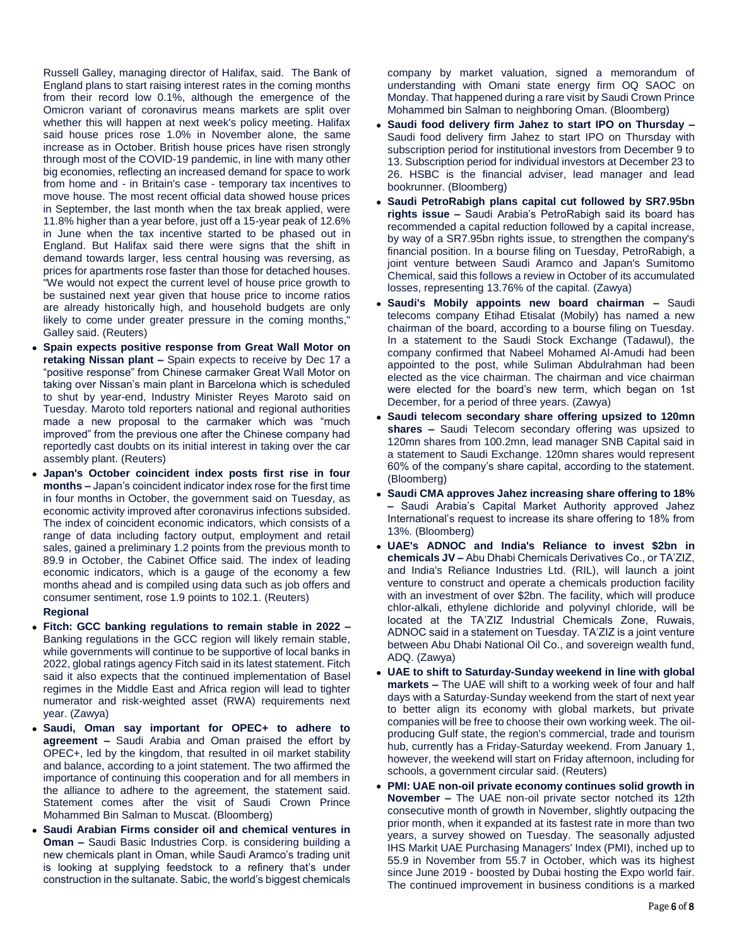Russell Galley, managing director of Halifax, said. The Bank of England plans to start raising interest rates in the coming months from their record low 0.1%, although the emergence of the Omicron variant of coronavirus means markets are split over whether this will happen at next week's policy meeting. Halifax said house prices rose 1.0% in November alone, the same increase as in October. British house prices have risen strongly through most of the COVID-19 pandemic, in line with many other big economies, reflecting an increased demand for space to work from home and - in Britain's case - temporary tax incentives to move house. The most recent official data showed house prices in September, the last month when the tax break applied, were 11.8% higher than a year before, just off a 15-year peak of 12.6% in June when the tax incentive started to be phased out in England. But Halifax said there were signs that the shift in demand towards larger, less central housing was reversing, as prices for apartments rose faster than those for detached houses. "We would not expect the current level of house price growth to be sustained next year given that house price to income ratios are already historically high, and household budgets are only likely to come under greater pressure in the coming months," Galley said. (Reuters)

- **Spain expects positive response from Great Wall Motor on retaking Nissan plant –** Spain expects to receive by Dec 17 a "positive response" from Chinese carmaker Great Wall Motor on taking over Nissan's main plant in Barcelona which is scheduled to shut by year-end, Industry Minister Reyes Maroto said on Tuesday. Maroto told reporters national and regional authorities made a new proposal to the carmaker which was "much improved" from the previous one after the Chinese company had reportedly cast doubts on its initial interest in taking over the car assembly plant. (Reuters)
- **Japan's October coincident index posts first rise in four months –** Japan's coincident indicator index rose for the first time in four months in October, the government said on Tuesday, as economic activity improved after coronavirus infections subsided. The index of coincident economic indicators, which consists of a range of data including factory output, employment and retail sales, gained a preliminary 1.2 points from the previous month to 89.9 in October, the Cabinet Office said. The index of leading economic indicators, which is a gauge of the economy a few months ahead and is compiled using data such as job offers and consumer sentiment, rose 1.9 points to 102.1. (Reuters) **Regional**
- **Fitch: GCC banking regulations to remain stable in 2022 –** Banking regulations in the GCC region will likely remain stable, while governments will continue to be supportive of local banks in 2022, global ratings agency Fitch said in its latest statement. Fitch said it also expects that the continued implementation of Basel regimes in the Middle East and Africa region will lead to tighter numerator and risk-weighted asset (RWA) requirements next year. (Zawya)
- **Saudi, Oman say important for OPEC+ to adhere to agreement –** Saudi Arabia and Oman praised the effort by OPEC+, led by the kingdom, that resulted in oil market stability and balance, according to a joint statement. The two affirmed the importance of continuing this cooperation and for all members in the alliance to adhere to the agreement, the statement said. Statement comes after the visit of Saudi Crown Prince Mohammed Bin Salman to Muscat. (Bloomberg)
- **Saudi Arabian Firms consider oil and chemical ventures in Oman –** Saudi Basic Industries Corp. is considering building a new chemicals plant in Oman, while Saudi Aramco's trading unit is looking at supplying feedstock to a refinery that's under construction in the sultanate. Sabic, the world's biggest chemicals

company by market valuation, signed a memorandum of understanding with Omani state energy firm OQ SAOC on Monday. That happened during a rare visit by Saudi Crown Prince Mohammed bin Salman to neighboring Oman. (Bloomberg)

- **Saudi food delivery firm Jahez to start IPO on Thursday –** Saudi food delivery firm Jahez to start IPO on Thursday with subscription period for institutional investors from December 9 to 13. Subscription period for individual investors at December 23 to 26. HSBC is the financial adviser, lead manager and lead bookrunner. (Bloomberg)
- **Saudi PetroRabigh plans capital cut followed by SR7.95bn rights issue –** Saudi Arabia's PetroRabigh said its board has recommended a capital reduction followed by a capital increase, by way of a SR7.95bn rights issue, to strengthen the company's financial position. In a bourse filing on Tuesday, PetroRabigh, a joint venture between Saudi Aramco and Japan's Sumitomo Chemical, said this follows a review in October of its accumulated losses, representing 13.76% of the capital. (Zawya)
- **Saudi's Mobily appoints new board chairman –** Saudi telecoms company Etihad Etisalat (Mobily) has named a new chairman of the board, according to a bourse filing on Tuesday. In a statement to the Saudi Stock Exchange (Tadawul), the company confirmed that Nabeel Mohamed Al-Amudi had been appointed to the post, while Suliman Abdulrahman had been elected as the vice chairman. The chairman and vice chairman were elected for the board's new term, which began on 1st December, for a period of three years. (Zawya)
- **Saudi telecom secondary share offering upsized to 120mn shares –** Saudi Telecom secondary offering was upsized to 120mn shares from 100.2mn, lead manager SNB Capital said in a statement to Saudi Exchange. 120mn shares would represent 60% of the company's share capital, according to the statement. (Bloomberg)
- **Saudi CMA approves Jahez increasing share offering to 18% –** Saudi Arabia's Capital Market Authority approved Jahez International's request to increase its share offering to 18% from 13%. (Bloomberg)
- **UAE's ADNOC and India's Reliance to invest \$2bn in chemicals JV –** Abu Dhabi Chemicals Derivatives Co., or TA'ZIZ, and India's Reliance Industries Ltd. (RIL), will launch a joint venture to construct and operate a chemicals production facility with an investment of over \$2bn. The facility, which will produce chlor-alkali, ethylene dichloride and polyvinyl chloride, will be located at the TA'ZIZ Industrial Chemicals Zone, Ruwais, ADNOC said in a statement on Tuesday. TA'ZIZ is a joint venture between Abu Dhabi National Oil Co., and sovereign wealth fund, ADQ. (Zawya)
- **UAE to shift to Saturday-Sunday weekend in line with global markets –** The UAE will shift to a working week of four and half days with a Saturday-Sunday weekend from the start of next year to better align its economy with global markets, but private companies will be free to choose their own working week. The oilproducing Gulf state, the region's commercial, trade and tourism hub, currently has a Friday-Saturday weekend. From January 1, however, the weekend will start on Friday afternoon, including for schools, a government circular said. (Reuters)
- **PMI: UAE non-oil private economy continues solid growth in November –** The UAE non-oil private sector notched its 12th consecutive month of growth in November, slightly outpacing the prior month, when it expanded at its fastest rate in more than two years, a survey showed on Tuesday. The seasonally adjusted IHS Markit UAE Purchasing Managers' Index (PMI), inched up to 55.9 in November from 55.7 in October, which was its highest since June 2019 - boosted by Dubai hosting the Expo world fair. The continued improvement in business conditions is a marked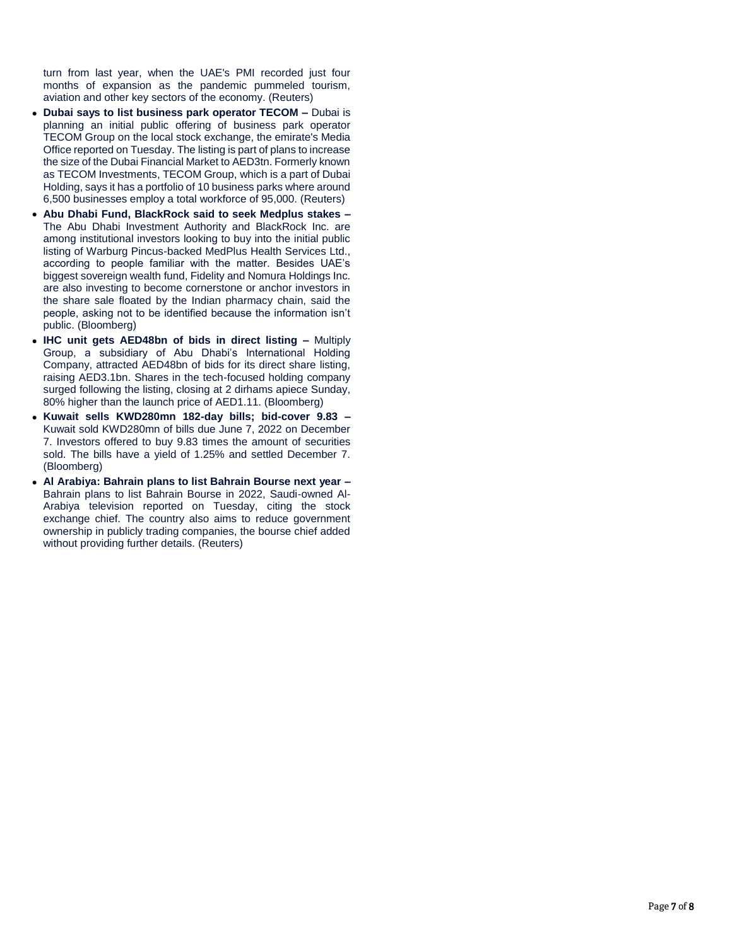turn from last year, when the UAE's PMI recorded just four months of expansion as the pandemic pummeled tourism, aviation and other key sectors of the economy. (Reuters)

- **Dubai says to list business park operator TECOM –** Dubai is planning an initial public offering of business park operator TECOM Group on the local stock exchange, the emirate's Media Office reported on Tuesday. The listing is part of plans to increase the size of the Dubai Financial Market to AED3tn. Formerly known as TECOM Investments, TECOM Group, which is a part of Dubai Holding, says it has a portfolio of 10 business parks where around 6,500 businesses employ a total workforce of 95,000. (Reuters)
- **Abu Dhabi Fund, BlackRock said to seek Medplus stakes –** The Abu Dhabi Investment Authority and BlackRock Inc. are among institutional investors looking to buy into the initial public listing of Warburg Pincus-backed MedPlus Health Services Ltd., according to people familiar with the matter. Besides UAE's biggest sovereign wealth fund, Fidelity and Nomura Holdings Inc. are also investing to become cornerstone or anchor investors in the share sale floated by the Indian pharmacy chain, said the people, asking not to be identified because the information isn't public. (Bloomberg)
- **IHC unit gets AED48bn of bids in direct listing –** Multiply Group, a subsidiary of Abu Dhabi's International Holding Company, attracted AED48bn of bids for its direct share listing, raising AED3.1bn. Shares in the tech-focused holding company surged following the listing, closing at 2 dirhams apiece Sunday, 80% higher than the launch price of AED1.11. (Bloomberg)
- **Kuwait sells KWD280mn 182-day bills; bid-cover 9.83 –** Kuwait sold KWD280mn of bills due June 7, 2022 on December 7. Investors offered to buy 9.83 times the amount of securities sold. The bills have a yield of 1.25% and settled December 7. (Bloomberg)
- **Al Arabiya: Bahrain plans to list Bahrain Bourse next year –** Bahrain plans to list Bahrain Bourse in 2022, Saudi-owned Al-Arabiya television reported on Tuesday, citing the stock exchange chief. The country also aims to reduce government ownership in publicly trading companies, the bourse chief added without providing further details. (Reuters)